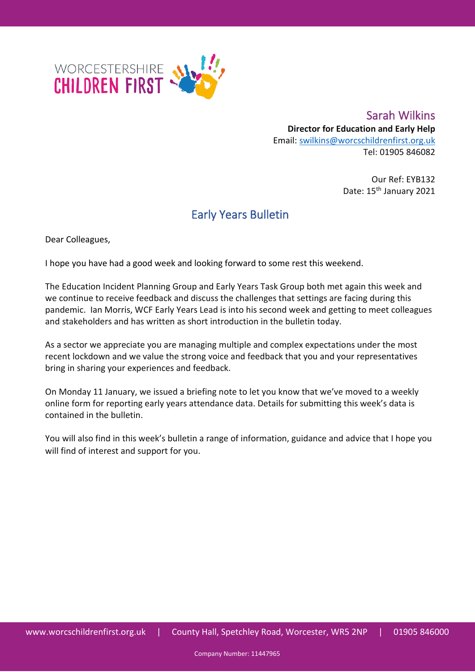

Sarah Wilkins **Director for Education and Early Help** Email: [swilkins@worcschildrenfirst.org.uk](mailto:swilkins@worcschildrenfirst.org.uk) Tel: 01905 846082

> Our Ref: EYB132 Date: 15<sup>th</sup> January 2021

## Early Years Bulletin

Dear Colleagues,

I hope you have had a good week and looking forward to some rest this weekend.

The Education Incident Planning Group and Early Years Task Group both met again this week and we continue to receive feedback and discuss the challenges that settings are facing during this pandemic. Ian Morris, WCF Early Years Lead is into his second week and getting to meet colleagues and stakeholders and has written as short introduction in the bulletin today.

As a sector we appreciate you are managing multiple and complex expectations under the most recent lockdown and we value the strong voice and feedback that you and your representatives bring in sharing your experiences and feedback.

On Monday 11 January, we issued a briefing note to let you know that we've moved to a weekly online form for reporting early years attendance data. Details for submitting this week's data is contained in the bulletin.

You will also find in this week's bulletin a range of information, guidance and advice that I hope you will find of interest and support for you.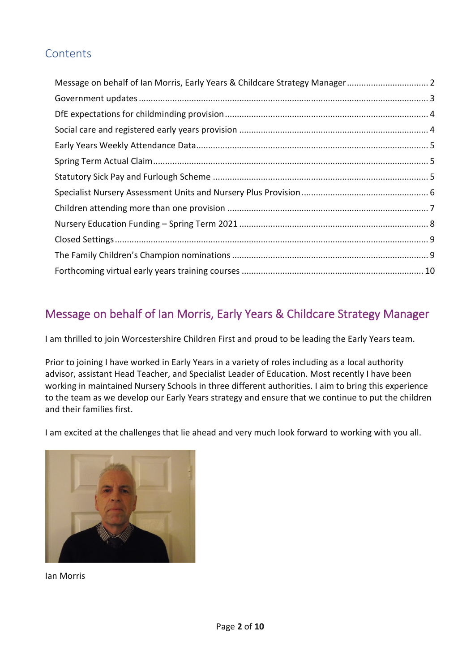### **Contents**

## <span id="page-1-0"></span>Message on behalf of Ian Morris, Early Years & Childcare Strategy Manager

I am thrilled to join Worcestershire Children First and proud to be leading the Early Years team.

Prior to joining I have worked in Early Years in a variety of roles including as a local authority advisor, assistant Head Teacher, and Specialist Leader of Education. Most recently I have been working in maintained Nursery Schools in three different authorities. I aim to bring this experience to the team as we develop our Early Years strategy and ensure that we continue to put the children and their families first.

I am excited at the challenges that lie ahead and very much look forward to working with you all.



Ian Morris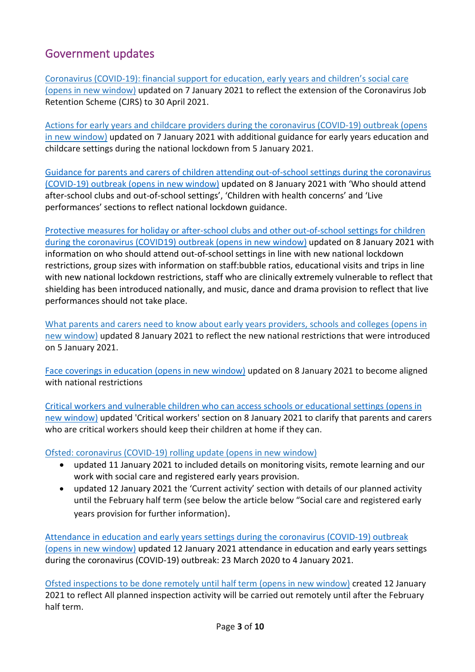### <span id="page-2-0"></span>Government updates

[Coronavirus \(COVID-19\): financial support for education, early years and children's social care](https://eur02.safelinks.protection.outlook.com/?url=https%3A%2F%2Fwww.gov.uk%2Fgovernment%2Fpublications%2Fcoronavirus-covid-19-financial-support-for-education-early-years-and-childrens-social-care%3Futm_medium%3Demail%26utm_campaign%3Dgovuk-notifications%26utm_source%3D948d407e-aff5-4c92-a49a-3dd3ddef9fe0%26utm_content%3Ddaily&data=04%7C01%7CROakley2%40worcschildrenfirst.org.uk%7Cb2cb3635016545ceb61f08d8b3b39874%7Cacf41887bd3745d39e6547cde48dc85a%7C0%7C0%7C637456931226256686%7CUnknown%7CTWFpbGZsb3d8eyJWIjoiMC4wLjAwMDAiLCJQIjoiV2luMzIiLCJBTiI6Ik1haWwiLCJXVCI6Mn0%3D%7C1000&sdata=NpS9GmxzO2pWnpWmhGjEsxGLlsV2kbv58KAsc3Ew50Y%3D&reserved=0)  [\(opens in new window\)](https://eur02.safelinks.protection.outlook.com/?url=https%3A%2F%2Fwww.gov.uk%2Fgovernment%2Fpublications%2Fcoronavirus-covid-19-financial-support-for-education-early-years-and-childrens-social-care%3Futm_medium%3Demail%26utm_campaign%3Dgovuk-notifications%26utm_source%3D948d407e-aff5-4c92-a49a-3dd3ddef9fe0%26utm_content%3Ddaily&data=04%7C01%7CROakley2%40worcschildrenfirst.org.uk%7Cb2cb3635016545ceb61f08d8b3b39874%7Cacf41887bd3745d39e6547cde48dc85a%7C0%7C0%7C637456931226256686%7CUnknown%7CTWFpbGZsb3d8eyJWIjoiMC4wLjAwMDAiLCJQIjoiV2luMzIiLCJBTiI6Ik1haWwiLCJXVCI6Mn0%3D%7C1000&sdata=NpS9GmxzO2pWnpWmhGjEsxGLlsV2kbv58KAsc3Ew50Y%3D&reserved=0) updated on 7 January 2021 to reflect the extension of the Coronavirus Job Retention Scheme (CJRS) to 30 April 2021.

[Actions for early years and childcare providers during](https://eur02.safelinks.protection.outlook.com/?url=https%3A%2F%2Fwww.gov.uk%2Fgovernment%2Fpublications%2Fcoronavirus-covid-19-early-years-and-childcare-closures%3Futm_medium%3Demail%26utm_campaign%3Dgovuk-notifications%26utm_source%3De0e6071b-ab48-4d21-bce7-a8ae26bd8c15%26utm_content%3Ddaily&data=04%7C01%7CROakley2%40worcschildrenfirst.org.uk%7Cb2cb3635016545ceb61f08d8b3b39874%7Cacf41887bd3745d39e6547cde48dc85a%7C0%7C0%7C637456931226286556%7CUnknown%7CTWFpbGZsb3d8eyJWIjoiMC4wLjAwMDAiLCJQIjoiV2luMzIiLCJBTiI6Ik1haWwiLCJXVCI6Mn0%3D%7C1000&sdata=Q6eyl%2FINwgwnpsAntKurfVwnUlO9WigzRXOVrM8gxfA%3D&reserved=0) the coronavirus (COVID-19) outbreak (opens [in new window\)](https://eur02.safelinks.protection.outlook.com/?url=https%3A%2F%2Fwww.gov.uk%2Fgovernment%2Fpublications%2Fcoronavirus-covid-19-early-years-and-childcare-closures%3Futm_medium%3Demail%26utm_campaign%3Dgovuk-notifications%26utm_source%3De0e6071b-ab48-4d21-bce7-a8ae26bd8c15%26utm_content%3Ddaily&data=04%7C01%7CROakley2%40worcschildrenfirst.org.uk%7Cb2cb3635016545ceb61f08d8b3b39874%7Cacf41887bd3745d39e6547cde48dc85a%7C0%7C0%7C637456931226286556%7CUnknown%7CTWFpbGZsb3d8eyJWIjoiMC4wLjAwMDAiLCJQIjoiV2luMzIiLCJBTiI6Ik1haWwiLCJXVCI6Mn0%3D%7C1000&sdata=Q6eyl%2FINwgwnpsAntKurfVwnUlO9WigzRXOVrM8gxfA%3D&reserved=0) updated on 7 January 2021 with additional guidance for early years education and childcare settings during the national lockdown from 5 January 2021.

[Guidance for parents and carers of children attending out-of-school settings during the coronavirus](https://www.gov.uk/government/publications/guidance-for-parents-and-carers-of-children-attending-out-of-school-settings-during-the-coronavirus-covid-19-outbreak/guidance-for-parents-and-carers-of-children-attending-out-of-school-settings-during-the-coronavirus-covid-19-outbreak)  [\(COVID-19\) outbreak \(opens in new window\)](https://www.gov.uk/government/publications/guidance-for-parents-and-carers-of-children-attending-out-of-school-settings-during-the-coronavirus-covid-19-outbreak/guidance-for-parents-and-carers-of-children-attending-out-of-school-settings-during-the-coronavirus-covid-19-outbreak) updated on 8 January 2021 with 'Who should attend after-school clubs and out-of-school settings', 'Children with health concerns' and 'Live performances' sections to reflect national lockdown guidance.

[Protective measures for holiday or after-school clubs and other out-of-school settings for children](https://eur02.safelinks.protection.outlook.com/?url=https%3A%2F%2Fwww.gov.uk%2Fgovernment%2Fpublications%2Fprotective-measures-for-holiday-or-after-school-clubs-and-other-out-of-school-settings-for-children-during-the-coronavirus-covid-19-outbreak%3Futm_medium%3Demail%26utm_campaign%3Dgovuk-notifications%26utm_source%3D47e7b431-248e-42ba-885f-b94fd2ba43f4%26utm_content%3Ddaily&data=04%7C01%7CROakley2%40worcschildrenfirst.org.uk%7Cb9b51ebd066a474877be08d8b4806fc0%7Cacf41887bd3745d39e6547cde48dc85a%7C0%7C0%7C637457811016833217%7CUnknown%7CTWFpbGZsb3d8eyJWIjoiMC4wLjAwMDAiLCJQIjoiV2luMzIiLCJBTiI6Ik1haWwiLCJXVCI6Mn0%3D%7C1000&sdata=4ecI5l7q4j5kD4UrTNfpRMTBzv4xiLsI0XoaOyWN5OM%3D&reserved=0)  [during the coronavirus \(COVID19\) outbreak \(opens in new window\)](https://eur02.safelinks.protection.outlook.com/?url=https%3A%2F%2Fwww.gov.uk%2Fgovernment%2Fpublications%2Fprotective-measures-for-holiday-or-after-school-clubs-and-other-out-of-school-settings-for-children-during-the-coronavirus-covid-19-outbreak%3Futm_medium%3Demail%26utm_campaign%3Dgovuk-notifications%26utm_source%3D47e7b431-248e-42ba-885f-b94fd2ba43f4%26utm_content%3Ddaily&data=04%7C01%7CROakley2%40worcschildrenfirst.org.uk%7Cb9b51ebd066a474877be08d8b4806fc0%7Cacf41887bd3745d39e6547cde48dc85a%7C0%7C0%7C637457811016833217%7CUnknown%7CTWFpbGZsb3d8eyJWIjoiMC4wLjAwMDAiLCJQIjoiV2luMzIiLCJBTiI6Ik1haWwiLCJXVCI6Mn0%3D%7C1000&sdata=4ecI5l7q4j5kD4UrTNfpRMTBzv4xiLsI0XoaOyWN5OM%3D&reserved=0) updated on 8 January 2021 with information on who should attend out-of-school settings in line with new national lockdown restrictions, group sizes with information on staff:bubble ratios, educational visits and trips in line with new national lockdown restrictions, staff who are clinically extremely vulnerable to reflect that shielding has been introduced nationally, and music, dance and drama provision to reflect that live performances should not take place.

What parents and [carers need to know about early years providers, schools and colleges \(opens in](https://eur02.safelinks.protection.outlook.com/?url=https%3A%2F%2Fwww.gov.uk%2Fgovernment%2Fpublications%2Fwhat-parents-and-carers-need-to-know-about-early-years-providers-schools-and-colleges-during-the-coronavirus-covid-19-outbreak%3Futm_medium%3Demail%26utm_campaign%3Dgovuk-notifications%26utm_source%3D80396361-8641-4207-9c25-8ef0dd1ed9b8%26utm_content%3Ddaily&data=04%7C01%7CROakley2%40worcschildrenfirst.org.uk%7Cb9b51ebd066a474877be08d8b4806fc0%7Cacf41887bd3745d39e6547cde48dc85a%7C0%7C0%7C637457811016843183%7CUnknown%7CTWFpbGZsb3d8eyJWIjoiMC4wLjAwMDAiLCJQIjoiV2luMzIiLCJBTiI6Ik1haWwiLCJXVCI6Mn0%3D%7C1000&sdata=sDqL0Veacux6q5O9UH6tyTI3Z6P9M3T4HhdSUb8pmr4%3D&reserved=0)  [new window\)](https://eur02.safelinks.protection.outlook.com/?url=https%3A%2F%2Fwww.gov.uk%2Fgovernment%2Fpublications%2Fwhat-parents-and-carers-need-to-know-about-early-years-providers-schools-and-colleges-during-the-coronavirus-covid-19-outbreak%3Futm_medium%3Demail%26utm_campaign%3Dgovuk-notifications%26utm_source%3D80396361-8641-4207-9c25-8ef0dd1ed9b8%26utm_content%3Ddaily&data=04%7C01%7CROakley2%40worcschildrenfirst.org.uk%7Cb9b51ebd066a474877be08d8b4806fc0%7Cacf41887bd3745d39e6547cde48dc85a%7C0%7C0%7C637457811016843183%7CUnknown%7CTWFpbGZsb3d8eyJWIjoiMC4wLjAwMDAiLCJQIjoiV2luMzIiLCJBTiI6Ik1haWwiLCJXVCI6Mn0%3D%7C1000&sdata=sDqL0Veacux6q5O9UH6tyTI3Z6P9M3T4HhdSUb8pmr4%3D&reserved=0) updated 8 January 2021 to reflect the new national restrictions that were introduced on 5 January 2021.

[Face coverings in education \(opens in new window\)](https://www.gov.uk/government/publications/face-coverings-in-education/face-coverings-in-education) updated on 8 January 2021 to become aligned with national restrictions

[Critical workers and vulnerable children who can access schools or educational settings \(opens in](https://www.gov.uk/government/publications/coronavirus-covid-19-maintaining-educational-provision?utm_medium=email&utm_campaign=govuk-notifications&utm_source=31faca4b-814d-4606-947d-432ab6d24ea6&utm_content=daily#history)  [new window\)](https://www.gov.uk/government/publications/coronavirus-covid-19-maintaining-educational-provision?utm_medium=email&utm_campaign=govuk-notifications&utm_source=31faca4b-814d-4606-947d-432ab6d24ea6&utm_content=daily#history) updated 'Critical workers' section on 8 January 2021 to clarify that parents and carers who are critical workers should keep their children at home if they can.

[Ofsted: coronavirus \(COVID-19\) rolling update \(opens in new window\)](https://eur02.safelinks.protection.outlook.com/?url=https%3A%2F%2Fwww.gov.uk%2Fguidance%2Fofsted-coronavirus-covid-19-rolling-update%3Futm_medium%3Demail%26utm_campaign%3Dgovuk-notifications%26utm_source%3Dc7e42b40-27a4-48ab-9e2f-c0da80cce8a4%26utm_content%3Ddaily&data=04%7C01%7CROakley2%40worcschildrenfirst.org.uk%7C1451c332c2394badeb8a08d8b6d87941%7Cacf41887bd3745d39e6547cde48dc85a%7C0%7C0%7C637460388147840148%7CUnknown%7CTWFpbGZsb3d8eyJWIjoiMC4wLjAwMDAiLCJQIjoiV2luMzIiLCJBTiI6Ik1haWwiLCJXVCI6Mn0%3D%7C1000&sdata=HZrKikwcjJzmU40PM%2FRNJ6LJLUZwxTUbcgrbUaJDUWk%3D&reserved=0)

- updated 11 January 2021 to included details on monitoring visits, remote learning and our work with social care and registered early years provision.
- updated 12 January 2021 the 'Current activity' section with details of our planned activity until the February half term (see below the article below "Social care and registered early years provision for further information).

[Attendance in education and early years settings during the coronavirus \(COVID-19\) outbreak](https://eur02.safelinks.protection.outlook.com/?url=https%3A%2F%2Fwww.gov.uk%2Fgovernment%2Fcollections%2Fattendance-in-education-and-early-years-settings-during-the-coronavirus-covid-19-outbreak%3Futm_medium%3Demail%26utm_campaign%3Dgovuk-notifications%26utm_source%3D0cee5c1d-69e1-4bb7-a2cd-2d37042346d1%26utm_content%3Ddaily&data=04%7C01%7CROakley2%40worcschildrenfirst.org.uk%7C9784c9266c364ab1c54e08d8b7a12522%7Cacf41887bd3745d39e6547cde48dc85a%7C0%7C0%7C637461250027753501%7CUnknown%7CTWFpbGZsb3d8eyJWIjoiMC4wLjAwMDAiLCJQIjoiV2luMzIiLCJBTiI6Ik1haWwiLCJXVCI6Mn0%3D%7C1000&sdata=8cjl06McJcU6bvYNJaKaFwTzUm3QS9arsoT1MKKV9Us%3D&reserved=0)  [\(opens in new window\)](https://eur02.safelinks.protection.outlook.com/?url=https%3A%2F%2Fwww.gov.uk%2Fgovernment%2Fcollections%2Fattendance-in-education-and-early-years-settings-during-the-coronavirus-covid-19-outbreak%3Futm_medium%3Demail%26utm_campaign%3Dgovuk-notifications%26utm_source%3D0cee5c1d-69e1-4bb7-a2cd-2d37042346d1%26utm_content%3Ddaily&data=04%7C01%7CROakley2%40worcschildrenfirst.org.uk%7C9784c9266c364ab1c54e08d8b7a12522%7Cacf41887bd3745d39e6547cde48dc85a%7C0%7C0%7C637461250027753501%7CUnknown%7CTWFpbGZsb3d8eyJWIjoiMC4wLjAwMDAiLCJQIjoiV2luMzIiLCJBTiI6Ik1haWwiLCJXVCI6Mn0%3D%7C1000&sdata=8cjl06McJcU6bvYNJaKaFwTzUm3QS9arsoT1MKKV9Us%3D&reserved=0) updated 12 January 2021 attendance in education and early years settings during the coronavirus (COVID-19) outbreak: 23 March 2020 to 4 January 2021.

[Ofsted inspections to be done remotely until half term \(opens in new window\)](https://eur02.safelinks.protection.outlook.com/?url=https%3A%2F%2Fwww.gov.uk%2Fgovernment%2Fnews%2Fofsted-inspections-to-be-done-remotely-until-half-term%3Futm_medium%3Demail%26utm_campaign%3Dgovuk-notifications%26utm_source%3D72f19b3b-cddb-45b6-8ed0-538a22895efb%26utm_content%3Ddaily&data=04%7C01%7CROakley2%40worcschildrenfirst.org.uk%7C9784c9266c364ab1c54e08d8b7a12522%7Cacf41887bd3745d39e6547cde48dc85a%7C0%7C0%7C637461250027763457%7CUnknown%7CTWFpbGZsb3d8eyJWIjoiMC4wLjAwMDAiLCJQIjoiV2luMzIiLCJBTiI6Ik1haWwiLCJXVCI6Mn0%3D%7C1000&sdata=D3FOf%2FSnQ1T8cJB9mFKIKVCq8YJsXMuAwTbYt6qL0t8%3D&reserved=0) created 12 January 2021 to reflect All planned inspection activity will be carried out remotely until after the February half term.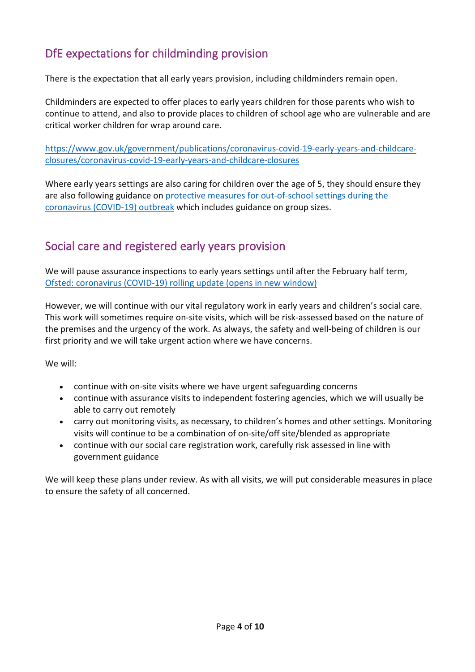# <span id="page-3-0"></span>DfE expectations for childminding provision

There is the expectation that all early years provision, including childminders remain open.

Childminders are expected to offer places to early years children for those parents who wish to continue to attend, and also to provide places to children of school age who are vulnerable and are critical worker children for wrap around care.

[https://www.gov.uk/government/publications/coronavirus-covid-19-early-years-and-childcare](https://www.gov.uk/government/publications/coronavirus-covid-19-early-years-and-childcare-closures/coronavirus-covid-19-early-years-and-childcare-closures)[closures/coronavirus-covid-19-early-years-and-childcare-closures](https://www.gov.uk/government/publications/coronavirus-covid-19-early-years-and-childcare-closures/coronavirus-covid-19-early-years-and-childcare-closures)

Where early years settings are also caring for children over the age of 5, they should ensure they are also following guidance on protective measures for out-of-school settings during the [coronavirus \(COVID-19\) outbreak](https://www.gov.uk/government/publications/protective-measures-for-holiday-or-after-school-clubs-and-other-out-of-school-settings-for-children-during-the-coronavirus-covid-19-outbreak/protective-measures-for-out-of-school-settings-during-the-coronavirus-covid-19-outbreak#consider-group) which includes guidance on group sizes.

## <span id="page-3-1"></span>Social care and registered early years provision

We will pause assurance inspections to early years settings until after the February half term, [Ofsted: coronavirus \(COVID-19\) rolling update \(opens in new window\)](https://www.gov.uk/guidance/ofsted-coronavirus-covid-19-rolling-update#current-activity)

However, we will continue with our vital regulatory work in early years and children's social care. This work will sometimes require on-site visits, which will be risk-assessed based on the nature of the premises and the urgency of the work. As always, the safety and well-being of children is our first priority and we will take urgent action where we have concerns.

We will:

- continue with on-site visits where we have urgent safeguarding concerns
- continue with assurance visits to independent fostering agencies, which we will usually be able to carry out remotely
- carry out monitoring visits, as necessary, to children's homes and other settings. Monitoring visits will continue to be a combination of on-site/off site/blended as appropriate
- continue with our social care registration work, carefully risk assessed in line with government guidance

We will keep these plans under review. As with all visits, we will put considerable measures in place to ensure the safety of all concerned.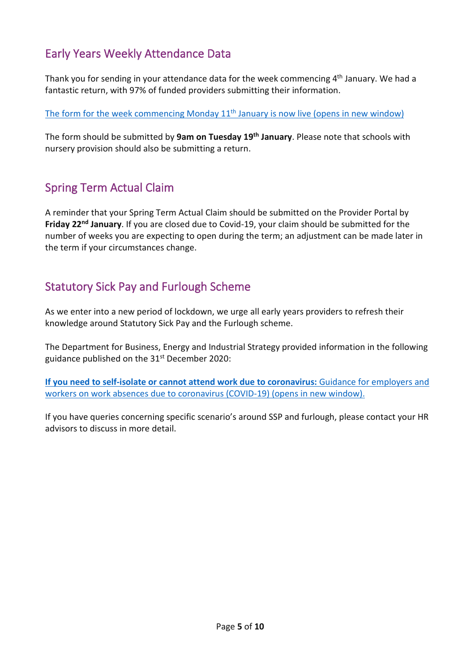## <span id="page-4-0"></span>Early Years Weekly Attendance Data

Thank you for sending in your attendance data for the week commencing 4<sup>th</sup> January. We had a fantastic return, with 97% of funded providers submitting their information.

The form for the week commencing Monday 11<sup>th</sup> January is now live (opens in new window)

The form should be submitted by **9am on Tuesday 19th January**. Please note that schools with nursery provision should also be submitting a return.

### <span id="page-4-1"></span>Spring Term Actual Claim

A reminder that your Spring Term Actual Claim should be submitted on the Provider Portal by **Friday 22nd January**. If you are closed due to Covid-19, your claim should be submitted for the number of weeks you are expecting to open during the term; an adjustment can be made later in the term if your circumstances change.

#### <span id="page-4-2"></span>Statutory Sick Pay and Furlough Scheme

As we enter into a new period of lockdown, we urge all early years providers to refresh their knowledge around Statutory Sick Pay and the Furlough scheme.

The Department for Business, Energy and Industrial Strategy provided information in the following guidance published on the 31<sup>st</sup> December 2020:

**If [you need to self-isolate or cannot attend work due to coronavirus:](https://www.gov.uk/guidance/if-you-need-to-self-isolate-or-cannot-attend-work-due-to-coronavirus?utm_source=84b1e9c2-c6de-4e91-b540-a5c3cf04a224&utm_medium=email&utm_campaign=govuk-notifications&utm_content=daily#paid-and-unpaid-leave)** Guidance for employers and [workers on work absences due to coronavirus \(COVID-19\) \(opens in new window\).](https://www.gov.uk/guidance/if-you-need-to-self-isolate-or-cannot-attend-work-due-to-coronavirus?utm_source=84b1e9c2-c6de-4e91-b540-a5c3cf04a224&utm_medium=email&utm_campaign=govuk-notifications&utm_content=daily#paid-and-unpaid-leave)

If you have queries concerning specific scenario's around SSP and furlough, please contact your HR advisors to discuss in more detail.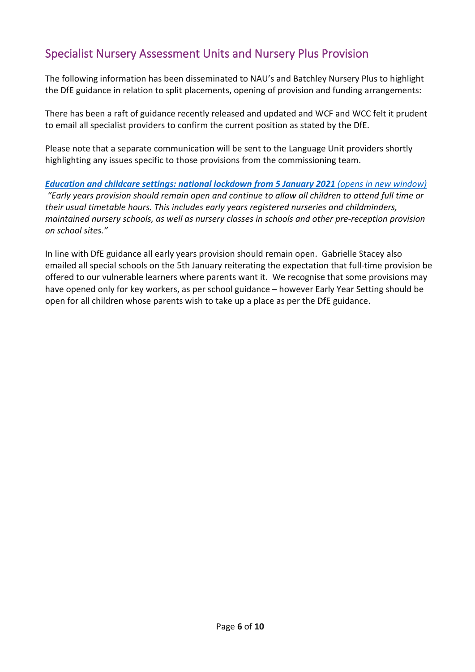### <span id="page-5-0"></span>Specialist Nursery Assessment Units and Nursery Plus Provision

The following information has been disseminated to NAU's and Batchley Nursery Plus to highlight the DfE guidance in relation to split placements, opening of provision and funding arrangements:

There has been a raft of guidance recently released and updated and WCF and WCC felt it prudent to email all specialist providers to confirm the current position as stated by the DfE.

Please note that a separate communication will be sent to the Language Unit providers shortly highlighting any issues specific to those provisions from the commissioning team.

#### *[Education and childcare settings: national lockdown from 5 January 2021](https://assets.publishing.service.gov.uk/government/uploads/system/uploads/attachment_data/file/950653/Education_and_childcare_settings_-_national_lockdown_from_5_January_2021_.pdf) (opens in new window)*

*"Early years provision should remain open and continue to allow all children to attend full time or their usual timetable hours. This includes early years registered nurseries and childminders, maintained nursery schools, as well as nursery classes in schools and other pre-reception provision on school sites."*

In line with DfE guidance all early years provision should remain open. Gabrielle Stacey also emailed all special schools on the 5th January reiterating the expectation that full-time provision be offered to our vulnerable learners where parents want it. We recognise that some provisions may have opened only for key workers, as per school guidance – however Early Year Setting should be open for all children whose parents wish to take up a place as per the DfE guidance.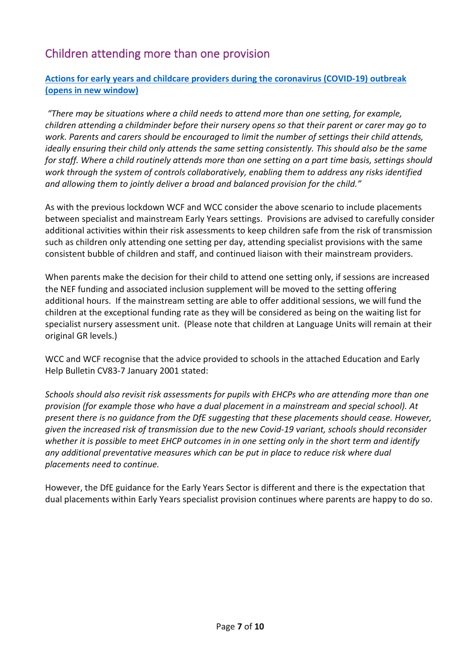# <span id="page-6-0"></span>Children attending more than one provision

#### **[Actions for early years and childcare providers during the coronavirus \(COVID-19\) outbreak](https://www.gov.uk/government/publications/coronavirus-covid-19-early-years-and-childcare-closures/coronavirus-covid-19-early-years-and-childcare-closures)  [\(opens in new window\)](https://www.gov.uk/government/publications/coronavirus-covid-19-early-years-and-childcare-closures/coronavirus-covid-19-early-years-and-childcare-closures)**

*"There may be situations where a child needs to attend more than one setting, for example, children attending a childminder before their nursery opens so that their parent or carer may go to work. Parents and carers should be encouraged to limit the number of settings their child attends, ideally ensuring their child only attends the same setting consistently. This should also be the same for staff. Where a child routinely attends more than one setting on a part time basis, settings should work through the system of controls collaboratively, enabling them to address any risks identified and allowing them to jointly deliver a broad and balanced provision for the child."*

As with the previous lockdown WCF and WCC consider the above scenario to include placements between specialist and mainstream Early Years settings. Provisions are advised to carefully consider additional activities within their risk assessments to keep children safe from the risk of transmission such as children only attending one setting per day, attending specialist provisions with the same consistent bubble of children and staff, and continued liaison with their mainstream providers.

When parents make the decision for their child to attend one setting only, if sessions are increased the NEF funding and associated inclusion supplement will be moved to the setting offering additional hours. If the mainstream setting are able to offer additional sessions, we will fund the children at the exceptional funding rate as they will be considered as being on the waiting list for specialist nursery assessment unit. (Please note that children at Language Units will remain at their original GR levels.)

WCC and WCF recognise that the advice provided to schools in the attached Education and Early Help Bulletin CV83-7 January 2001 stated:

*Schools should also revisit risk assessments for pupils with EHCPs who are attending more than one provision (for example those who have a dual placement in a mainstream and special school). At present there is no guidance from the DfE suggesting that these placements should cease. However, given the increased risk of transmission due to the new Covid-19 variant, schools should reconsider whether it is possible to meet EHCP outcomes in in one setting only in the short term and identify any additional preventative measures which can be put in place to reduce risk where dual placements need to continue.*

However, the DfE guidance for the Early Years Sector is different and there is the expectation that dual placements within Early Years specialist provision continues where parents are happy to do so.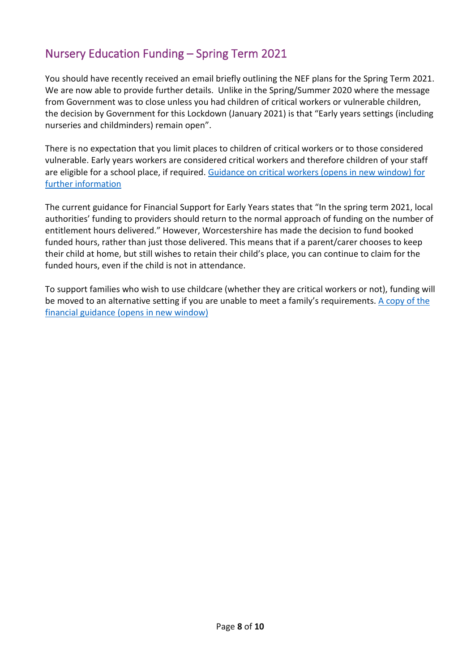## <span id="page-7-0"></span>Nursery Education Funding – Spring Term 2021

You should have recently received an email briefly outlining the NEF plans for the Spring Term 2021. We are now able to provide further details. Unlike in the Spring/Summer 2020 where the message from Government was to close unless you had children of critical workers or vulnerable children, the decision by Government for this Lockdown (January 2021) is that "Early years settings (including nurseries and childminders) remain open".

There is no expectation that you limit places to children of critical workers or to those considered vulnerable. Early years workers are considered critical workers and therefore children of your staff are eligible for a school place, if required. [Guidance on critical workers \(opens in new window\) for](https://www.gov.uk/government/publications/coronavirus-covid-19-maintaining-educational-provision?utm_medium=email&utm_campaign=govuk-notifications&utm_source=31faca4b-814d-4606-947d-432ab6d24ea6&utm_content=daily)  [further information](https://www.gov.uk/government/publications/coronavirus-covid-19-maintaining-educational-provision?utm_medium=email&utm_campaign=govuk-notifications&utm_source=31faca4b-814d-4606-947d-432ab6d24ea6&utm_content=daily)

The current guidance for Financial Support for Early Years states that "In the spring term 2021, local authorities' funding to providers should return to the normal approach of funding on the number of entitlement hours delivered." However, Worcestershire has made the decision to fund booked funded hours, rather than just those delivered. This means that if a parent/carer chooses to keep their child at home, but still wishes to retain their child's place, you can continue to claim for the funded hours, even if the child is not in attendance.

To support families who wish to use childcare (whether they are critical workers or not), funding will be moved to an alternative setting if you are unable to meet a family's requirements. [A copy of the](https://www.gov.uk/government/publications/coronavirus-covid-19-financial-support-for-education-early-years-and-childrens-social-care?priority-taxon=b350e61d-1db9-4cc2-bb44-fab02882ac25)  [financial guidance \(opens in new window\)](https://www.gov.uk/government/publications/coronavirus-covid-19-financial-support-for-education-early-years-and-childrens-social-care?priority-taxon=b350e61d-1db9-4cc2-bb44-fab02882ac25)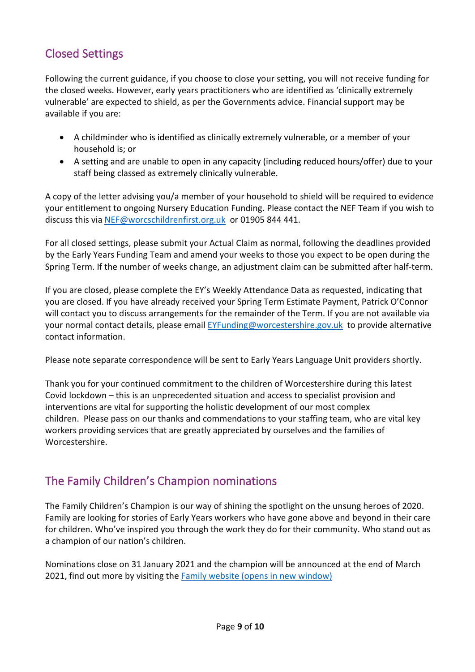## <span id="page-8-0"></span>Closed Settings

Following the current guidance, if you choose to close your setting, you will not receive funding for the closed weeks. However, early years practitioners who are identified as 'clinically extremely vulnerable' are expected to shield, as per the Governments advice. Financial support may be available if you are:

- A childminder who is identified as clinically extremely vulnerable, or a member of your household is; or
- A setting and are unable to open in any capacity (including reduced hours/offer) due to your staff being classed as extremely clinically vulnerable.

A copy of the letter advising you/a member of your household to shield will be required to evidence your entitlement to ongoing Nursery Education Funding. Please contact the NEF Team if you wish to discuss this via [NEF@worcschildrenfirst.org.uk](mailto:NEF@worcschildrenfirst.org.uk) or 01905 844 441.

For all closed settings, please submit your Actual Claim as normal, following the deadlines provided by the Early Years Funding Team and amend your weeks to those you expect to be open during the Spring Term. If the number of weeks change, an adjustment claim can be submitted after half-term.

If you are closed, please complete the EY's Weekly Attendance Data as requested, indicating that you are closed. If you have already received your Spring Term Estimate Payment, Patrick O'Connor will contact you to discuss arrangements for the remainder of the Term. If you are not available via your normal contact details, please email [EYFunding@worcestershire.gov.uk](mailto:EYFunding@worcestershire.gov.uk) to provide alternative contact information.

Please note separate correspondence will be sent to Early Years Language Unit providers shortly.

Thank you for your continued commitment to the children of Worcestershire during this latest Covid lockdown – this is an unprecedented situation and access to specialist provision and interventions are vital for supporting the holistic development of our most complex children. Please pass on our thanks and commendations to your staffing team, who are vital key workers providing services that are greatly appreciated by ourselves and the families of Worcestershire.

### <span id="page-8-1"></span>The Family Children's Champion nominations

The Family Children's Champion is our way of shining the spotlight on the unsung heroes of 2020. Family are looking for stories of Early Years workers who have gone above and beyond in their care for children. Who've inspired you through the work they do for their community. Who stand out as a champion of our nation's children.

Nominations close on 31 January 2021 and the champion will be announced at the end of March 2021, find out more by visiting the Family [website \(opens in new window\)](https://famly.co/awards/childrens-champion-2020/?utm_source=Nursery-World&utm_campaign=CC2020&utm_content=e-shot)